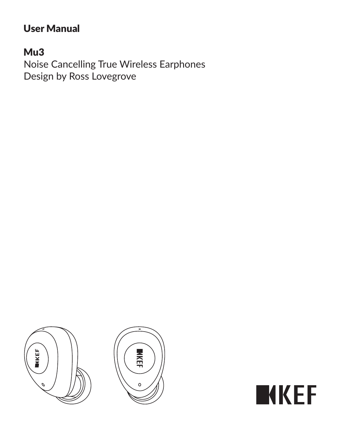# User Manual

## Mu3

Noise Cancelling True Wireless Earphones Design by Ross Lovegrove



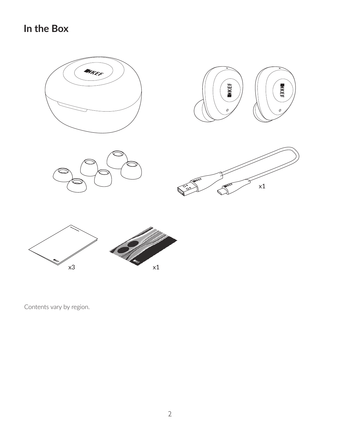### **In the Box**





Contents vary by region.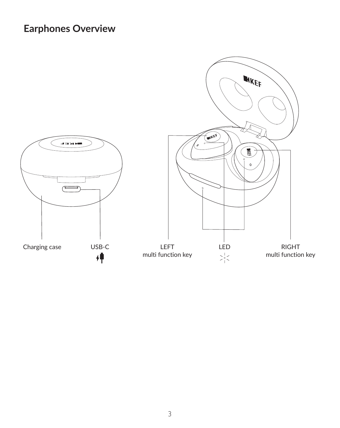### **Earphones Overview**

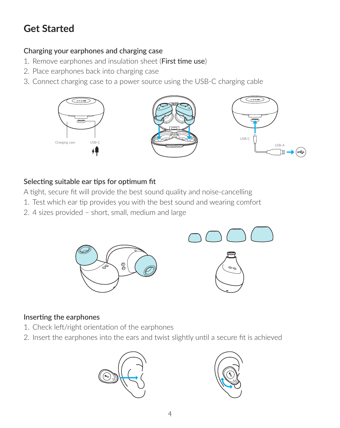## **Get Started**

#### Charging your earphones and charging case

- 1. Remove earphones and insulation sheet (First time use)
- 2. Place earphones back into charging case
- 3. Connect charging case to a power source using the USB-C charging cable



#### Selecting suitable ear tips for optimum fit

A tight, secure fit will provide the best sound quality and noise-cancelling

- 1. Test which ear tip provides you with the best sound and wearing comfort
- 2. 4 sizes provided short, small, medium and large



#### Inserting the earphones

- 1. Check left/right orientation of the earphones
- 2. Insert the earphones into the ears and twist slightly until a secure fit is achieved



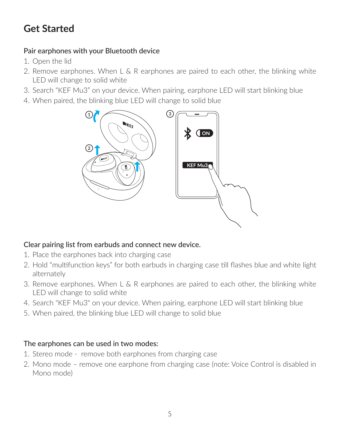## **Get Started**

#### Pair earphones with your Bluetooth device

- 1. Open the lid
- 2. Remove earphones. When  $L \& R$  earphones are paired to each other, the blinking white LED will change to solid white
- 3. Search "KEF Mu3" on your device. When pairing, earphone LED will start blinking blue
- 4. When paired, the blinking blue LED will change to solid blue



#### Clear pairing list from earbuds and connect new device.

- 1. Place the earphones back into charging case
- 2. Hold "multifunction keys" for both earbuds in charging case till flashes blue and white light alternately
- 3. Remove earphones. When  $L \& R$  earphones are paired to each other, the blinking white LED will change to solid white
- 4. Search "KEF Mu3" on your device. When pairing, earphone LED will start blinking blue
- 5. When paired, the blinking blue LED will change to solid blue

#### The earphones can be used in two modes:

- 1. Stereo mode remove both earphones from charging case
- 2. Mono mode remove one earphone from charging case (note: Voice Control is disabled in Mono mode)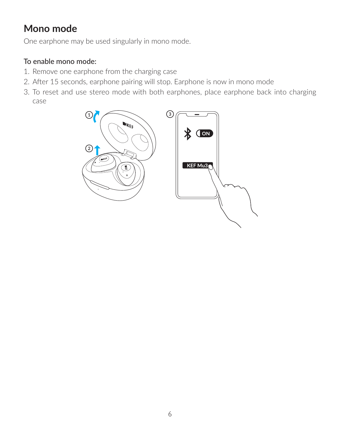### **Mono mode**

One earphone may be used singularly in mono mode.

#### To enable mono mode:

- 1. Remove one earphone from the charging case
- 2. After 15 seconds, earphone pairing will stop. Earphone is now in mono mode
- 3. To reset and use stereo mode with both earphones, place earphone back into charging case

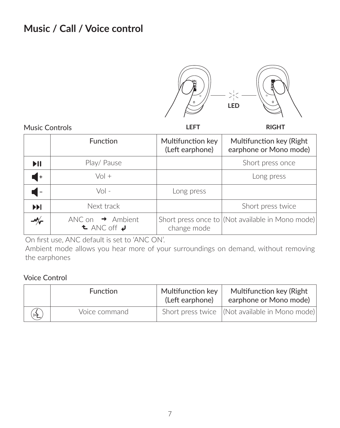### **Music / Call / Voice control**



Music Controls

**LEFT RIGHT**

|                            | Function                                                                      | Multifunction key<br>(Left earphone) | Multifunction key (Right<br>earphone or Mono mode) |
|----------------------------|-------------------------------------------------------------------------------|--------------------------------------|----------------------------------------------------|
| $\blacktriangleright$ II   | Play/ Pause                                                                   |                                      | Short press once                                   |
| I۰                         | $Vol +$                                                                       |                                      | Long press                                         |
| $\overline{\phantom{a}}$   | $Vol -$                                                                       | Long press                           |                                                    |
| <b>NH</b>                  | Next track                                                                    |                                      | Short press twice                                  |
| $\mathscr{M}_{\mathbf{r}}$ | ANC on $\rightarrow$ Ambient<br>$\triangle$ ANC off $\boldsymbol{\downarrow}$ | change mode                          | Short press once to (Not available in Mono mode)   |

On first use, ANC default is set to 'ANC ON'.

Ambient mode allows you hear more of your surroundings on demand, without removing the earphones

Voice Control

|     | Function      | Multifunction kev<br>(Left earphone) | Multifunction key (Right<br>earphone or Mono mode) |
|-----|---------------|--------------------------------------|----------------------------------------------------|
| (峰) | Voice command |                                      | Short press twice (Not available in Mono mode)     |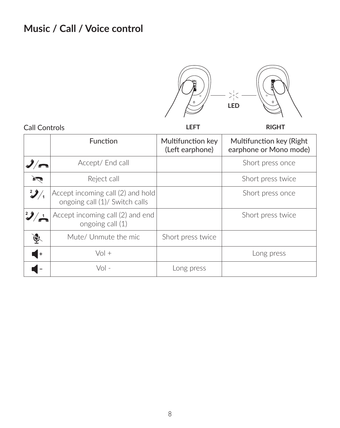## **Music / Call / Voice control**



| Call Controls |                                                                     | LEFT                                 | RIGHT                                              |
|---------------|---------------------------------------------------------------------|--------------------------------------|----------------------------------------------------|
|               | Function                                                            | Multifunction key<br>(Left earphone) | Multifunction key (Right<br>earphone or Mono mode) |
| $\frac{1}{2}$ | Accept/ End call                                                    |                                      | Short press once                                   |
| <b>P</b>      | Reject call                                                         |                                      | Short press twice                                  |
| $\mathbf{2}$  | Accept incoming call (2) and hold<br>ongoing call (1)/ Switch calls |                                      | Short press once                                   |
|               | Accept incoming call (2) and end<br>ongoing call (1)                |                                      | Short press twice                                  |
| Ā.            | Mute/ Unmute the mic                                                | Short press twice                    |                                                    |
| I۰            | $Vol +$                                                             |                                      | Long press                                         |
|               | $Vol -$                                                             | Long press                           |                                                    |

Call Controls

8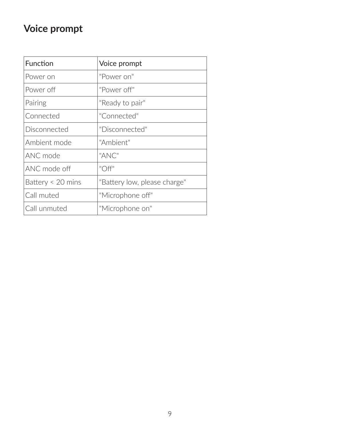## **Voice prompt**

| Function               | Voice prompt                 |
|------------------------|------------------------------|
| Power on               | "Power on"                   |
| Power off              | "Power off"                  |
| Pairing                | "Ready to pair"              |
| Connected              | "Connected"                  |
| Disconnected           | "Disconnected"               |
| Ambient mode           | "Ambient"                    |
| ANC mode               | "ANC"                        |
| ANC mode off           | "Off"                        |
| Battery $\leq$ 20 mins | "Battery low, please charge" |
| Call muted             | "Microphone off"             |
| Call unmuted           | "Microphone on"              |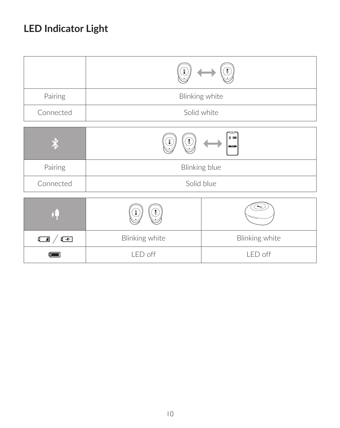# **LED Indicator Light**

| Pairing         | Blinking white |                                   |
|-----------------|----------------|-----------------------------------|
| Connected       | Solid white    |                                   |
|                 |                | $\ast$ $\infty$<br><b>BEARING</b> |
| Pairing         | Blinking blue  |                                   |
| Connected       | Solid blue     |                                   |
|                 |                |                                   |
| $\Box$ / $\Box$ | Blinking white | Blinking white                    |
|                 | LED off        | LED off                           |